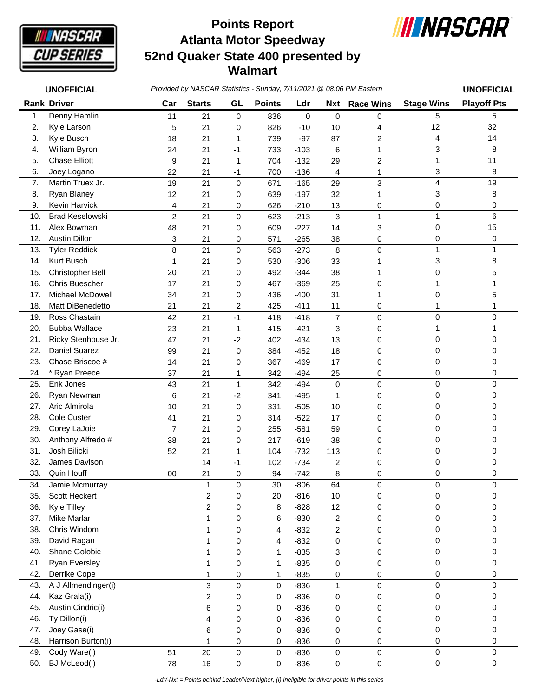

## **Atlanta Motor Speedway 52nd Quaker State 400 presented by Walmart Points Report**



|     | <b>UNOFFICIAL</b>      | Provided by NASCAR Statistics - Sunday, 7/11/2021 @ 08:06 PM Eastern |                |           |               |             |                |                  |                   | <b>UNOFFICIAL</b>  |
|-----|------------------------|----------------------------------------------------------------------|----------------|-----------|---------------|-------------|----------------|------------------|-------------------|--------------------|
|     | <b>Rank Driver</b>     | Car                                                                  | <b>Starts</b>  | GL        | <b>Points</b> | Ldr         | <b>Nxt</b>     | <b>Race Wins</b> | <b>Stage Wins</b> | <b>Playoff Pts</b> |
| 1.  | Denny Hamlin           | 11                                                                   | 21             | 0         | 836           | $\mathsf 0$ | 0              | 0                | 5                 | 5                  |
| 2.  | Kyle Larson            | 5                                                                    | 21             | 0         | 826           | $-10$       | 10             | 4                | 12                | 32                 |
| 3.  | Kyle Busch             | 18                                                                   | 21             | 1         | 739           | $-97$       | 87             | 2                | 4                 | 14                 |
| 4.  | William Byron          | 24                                                                   | 21             | $-1$      | 733           | $-103$      | 6              | $\mathbf{1}$     | 3                 | 8                  |
| 5.  | <b>Chase Elliott</b>   | 9                                                                    | 21             | 1         | 704           | $-132$      | 29             | 2                | 1                 | 11                 |
| 6.  | Joey Logano            | 22                                                                   | 21             | $-1$      | 700           | $-136$      | 4              | 1                | 3                 | 8                  |
| 7.  | Martin Truex Jr.       | 19                                                                   | 21             | 0         | 671           | $-165$      | 29             | 3                | $\overline{4}$    | 19                 |
| 8.  | Ryan Blaney            | 12                                                                   | 21             | 0         | 639           | $-197$      | 32             | 1                | 3                 | 8                  |
| 9.  | Kevin Harvick          | 4                                                                    | 21             | 0         | 626           | $-210$      | 13             | 0                | 0                 | 0                  |
| 10. | <b>Brad Keselowski</b> | $\overline{c}$                                                       | 21             | 0         | 623           | $-213$      | 3              | 1                | $\mathbf{1}$      | 6                  |
| 11. | Alex Bowman            | 48                                                                   | 21             | 0         | 609           | $-227$      | 14             | 3                | 0                 | 15                 |
| 12. | <b>Austin Dillon</b>   | 3                                                                    | 21             | 0         | 571           | $-265$      | 38             | 0                | 0                 | 0                  |
| 13. | <b>Tyler Reddick</b>   | 8                                                                    | 21             | 0         | 563           | $-273$      | 8              | 0                | $\mathbf{1}$      | 1                  |
| 14. | Kurt Busch             | 1                                                                    | 21             | 0         | 530           | $-306$      | 33             | 1                | 3                 | 8                  |
| 15. | Christopher Bell       | 20                                                                   | 21             | 0         | 492           | $-344$      | 38             | 1                | 0                 | 5                  |
| 16. | <b>Chris Buescher</b>  | 17                                                                   | 21             | 0         | 467           | $-369$      | 25             | 0                | $\mathbf{1}$      | 1                  |
| 17. | Michael McDowell       | 34                                                                   | 21             | 0         | 436           | $-400$      | 31             | 1                | 0                 | 5                  |
| 18. | Matt DiBenedetto       | 21                                                                   | 21             | 2         | 425           | $-411$      | 11             | 0                | 1                 |                    |
| 19. | Ross Chastain          | 42                                                                   | 21             | $-1$      | 418           | $-418$      | $\overline{7}$ | 0                | 0                 | 0                  |
| 20. | <b>Bubba Wallace</b>   | 23                                                                   | 21             | 1         | 415           | $-421$      | 3              | 0                | 1                 |                    |
| 21. | Ricky Stenhouse Jr.    | 47                                                                   | 21             | $-2$      | 402           | $-434$      | 13             | 0                | 0                 | 0                  |
| 22. | Daniel Suarez          | 99                                                                   | 21             | 0         | 384           | $-452$      | 18             | 0                | 0                 | 0                  |
| 23. | Chase Briscoe #        | 14                                                                   | 21             | 0         | 367           | $-469$      | 17             | 0                | 0                 | 0                  |
| 24. | * Ryan Preece          | 37                                                                   | 21             | 1         | 342           | $-494$      | 25             | 0                | 0                 | 0                  |
| 25. | Erik Jones             | 43                                                                   | 21             | 1         | 342           | $-494$      | $\mathbf 0$    | 0                | 0                 | 0                  |
| 26. | Ryan Newman            | 6                                                                    | 21             | $-2$      | 341           | $-495$      | 1              | 0                | 0                 | 0                  |
| 27. | Aric Almirola          | 10                                                                   | 21             | 0         | 331           | $-505$      | 10             | 0                | 0                 | 0                  |
| 28. | Cole Custer            | 41                                                                   | 21             | $\pmb{0}$ | 314           | $-522$      | 17             | 0                | 0                 | 0                  |
| 29. | Corey LaJoie           | $\overline{7}$                                                       | 21             | 0         | 255           | $-581$      | 59             | 0                | 0                 | 0                  |
| 30. | Anthony Alfredo #      | 38                                                                   | 21             | 0         | 217           | $-619$      | 38             | 0                | 0                 | 0                  |
| 31. | Josh Bilicki           | 52                                                                   | 21             | 1         | 104           | $-732$      | 113            | 0                | $\mathsf 0$       | 0                  |
| 32. | James Davison          |                                                                      | 14             | -1        | 102           | $-734$      | 2              | 0                | 0                 | 0                  |
| 33. | Quin Houff             | 00                                                                   | 21             | 0         | 94            | $-742$      | 8              | 0                | 0                 | 0                  |
| 34. | Jamie Mcmurray         |                                                                      | $\mathbf{1}$   | 0         | 30            | $-806$      | 64             | 0                | 0                 | 0                  |
| 35. | Scott Heckert          |                                                                      | $\overline{c}$ | 0         | 20            | $-816$      | 10             | 0                | 0                 | 0                  |
| 36. | <b>Kyle Tilley</b>     |                                                                      | $\overline{c}$ | 0         | 8             | $-828$      | 12             | 0                | 0                 | 0                  |
| 37. | <b>Mike Marlar</b>     |                                                                      | 1              | $\pmb{0}$ | 6             | $-830$      | $\overline{c}$ | 0                | 0                 | 0                  |
| 38. | Chris Windom           |                                                                      |                | 0         | 4             | $-832$      | 2              | 0                | 0                 | 0                  |
| 39. | David Ragan            |                                                                      |                | 0         | 4             | $-832$      | 0              | 0                | 0                 | 0                  |
| 40. | Shane Golobic          |                                                                      | 1              | $\pmb{0}$ | 1             | $-835$      | 3              | 0                | 0                 | 0                  |
| 41. | <b>Ryan Eversley</b>   |                                                                      | 1              | 0         | 1             | $-835$      | 0              | 0                | 0                 | 0                  |
| 42. | Derrike Cope           |                                                                      | 1              | 0         | 1             | $-835$      | 0              | 0                | 0                 | 0                  |
| 43. | A J Allmendinger(i)    |                                                                      | 3              | 0         | 0             | $-836$      | 1              | 0                | $\mathsf 0$       | 0                  |
| 44. | Kaz Grala(i)           |                                                                      | $\overline{c}$ | 0         | 0             | $-836$      | 0              | 0                | 0                 | 0                  |
| 45. | Austin Cindric(i)      |                                                                      | 6              | 0         | 0             | $-836$      | 0              | 0                | 0                 | 0                  |
| 46. | Ty Dillon(i)           |                                                                      | 4              | $\pmb{0}$ | 0             | $-836$      | 0              | 0                | 0                 | $\mathbf 0$        |
| 47. | Joey Gase(i)           |                                                                      | 6              | 0         | 0             | $-836$      | 0              | 0                | 0                 | 0                  |
| 48. | Harrison Burton(i)     |                                                                      |                | 0         | 0             | $-836$      | 0              | 0                | 0                 | 0                  |
| 49. | Cody Ware(i)           | 51                                                                   | 20             | 0         | 0             | $-836$      | 0              | 0                | 0                 | $\pmb{0}$          |
| 50. | <b>BJ</b> McLeod(i)    | 78                                                                   | 16             | 0         | 0             | $-836$      | 0              | 0                | $\pmb{0}$         | 0                  |